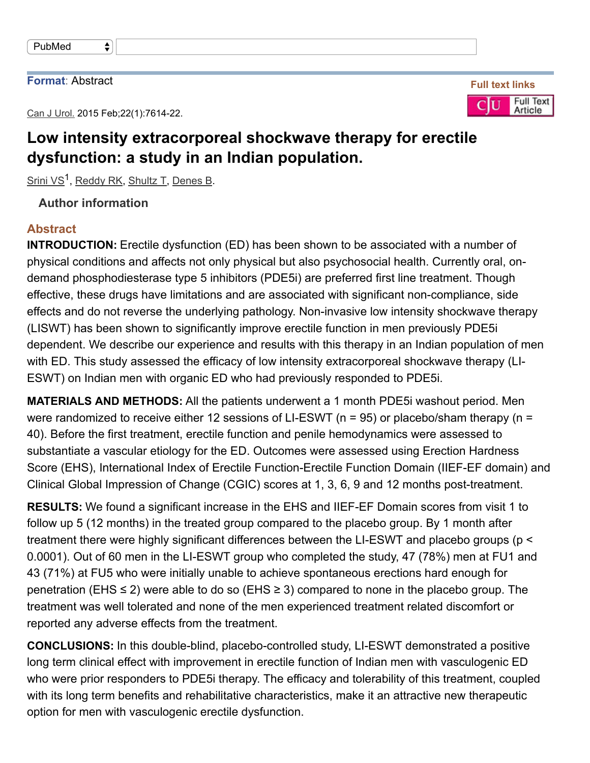#### **Format**: Abstract

Can J Urol. 2015 Feb; 22(1): 7614-22.

 $\bigstar$ 

# **Low intensity extracorporeal shockwave therapy for erectile dysfunction: a study in an Indian population.**

Srini VS<sup>1</sup>, Reddy RK, Shultz T, Denes B.

### **Author information**

### **Abstract**

**INTRODUCTION:** Erectile dysfunction (ED) has been shown to be associated with a number of physical conditions and affects not only physical but also psychosocial health. Currently oral, ondemand phosphodiesterase type 5 inhibitors (PDE5i) are preferred first line treatment. Though effective, these drugs have limitations and are associated with significant non-compliance, side effects and do not reverse the underlying pathology. Non-invasive low intensity shockwave therapy (LISWT) has been shown to significantly improve erectile function in men previously PDE5i dependent. We describe our experience and results with this therapy in an Indian population of men with ED. This study assessed the efficacy of low intensity extracorporeal shockwave therapy (LI-ESWT) on Indian men with organic ED who had previously responded to PDE5i.

**MATERIALS AND METHODS:** All the patients underwent a 1 month PDE5i washout period. Men were randomized to receive either 12 sessions of LI-ESWT ( $n = 95$ ) or placebo/sham therapy ( $n =$ 40). Before the first treatment, erectile function and penile hemodynamics were assessed to substantiate a vascular etiology for the ED. Outcomes were assessed using Erection Hardness Score (EHS), International Index of Erectile Function-Erectile Function Domain (IIEF-EF domain) and Clinical Global Impression of Change (CGIC) scores at 1, 3, 6, 9 and 12 months post-treatment.

**RESULTS:** We found a significant increase in the EHS and IIEF-EF Domain scores from visit 1 to follow up 5 (12 months) in the treated group compared to the placebo group. By 1 month after treatment there were highly significant differences between the LI-ESWT and placebo groups ( $p <$ 0.0001). Out of 60 men in the LI-ESWT group who completed the study, 47 (78%) men at FU1 and 43 (71%) at FU5 who were initially unable to achieve spontaneous erections hard enough for penetration (EHS  $\leq$  2) were able to do so (EHS  $\geq$  3) compared to none in the placebo group. The treatment was well tolerated and none of the men experienced treatment related discomfort or reported any adverse effects from the treatment.

**CONCLUSIONS:** In this double-blind, placebo-controlled study, LI-ESWT demonstrated a positive long term clinical effect with improvement in erectile function of Indian men with vasculogenic ED who were prior responders to PDE5i therapy. The efficacy and tolerability of this treatment, coupled with its long term benefits and rehabilitative characteristics, make it an attractive new therapeutic option for men with vasculogenic erectile dysfunction.